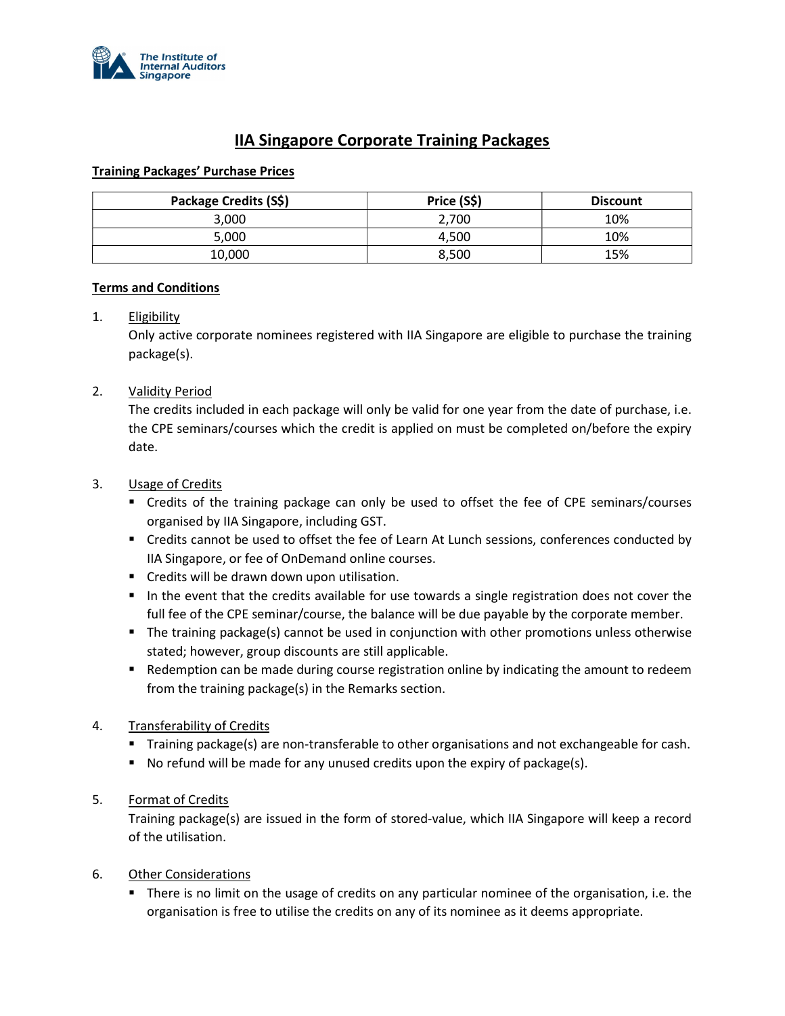

# IIA Singapore Corporate Training Packages

## Training Packages' Purchase Prices

| Package Credits (S\$) | Price (S\$) | <b>Discount</b> |
|-----------------------|-------------|-----------------|
| 3,000                 | 2,700       | 10%             |
| 5,000                 | 4.500       | 10%             |
| 10,000                | 8,500       | 15%             |

## Terms and Conditions

## 1. Eligibility

Only active corporate nominees registered with IIA Singapore are eligible to purchase the training package(s).

## 2. Validity Period

The credits included in each package will only be valid for one year from the date of purchase, i.e. the CPE seminars/courses which the credit is applied on must be completed on/before the expiry date.

## 3. Usage of Credits

- Credits of the training package can only be used to offset the fee of CPE seminars/courses organised by IIA Singapore, including GST.
- Credits cannot be used to offset the fee of Learn At Lunch sessions, conferences conducted by IIA Singapore, or fee of OnDemand online courses.
- Credits will be drawn down upon utilisation.
- In the event that the credits available for use towards a single registration does not cover the full fee of the CPE seminar/course, the balance will be due payable by the corporate member.
- The training package(s) cannot be used in conjunction with other promotions unless otherwise stated; however, group discounts are still applicable.
- **•** Redemption can be made during course registration online by indicating the amount to redeem from the training package(s) in the Remarks section.

## 4. Transferability of Credits

- Training package(s) are non-transferable to other organisations and not exchangeable for cash.
- $\blacksquare$  No refund will be made for any unused credits upon the expiry of package(s).

## 5. Format of Credits

Training package(s) are issued in the form of stored-value, which IIA Singapore will keep a record of the utilisation.

## 6. Other Considerations

 There is no limit on the usage of credits on any particular nominee of the organisation, i.e. the organisation is free to utilise the credits on any of its nominee as it deems appropriate.